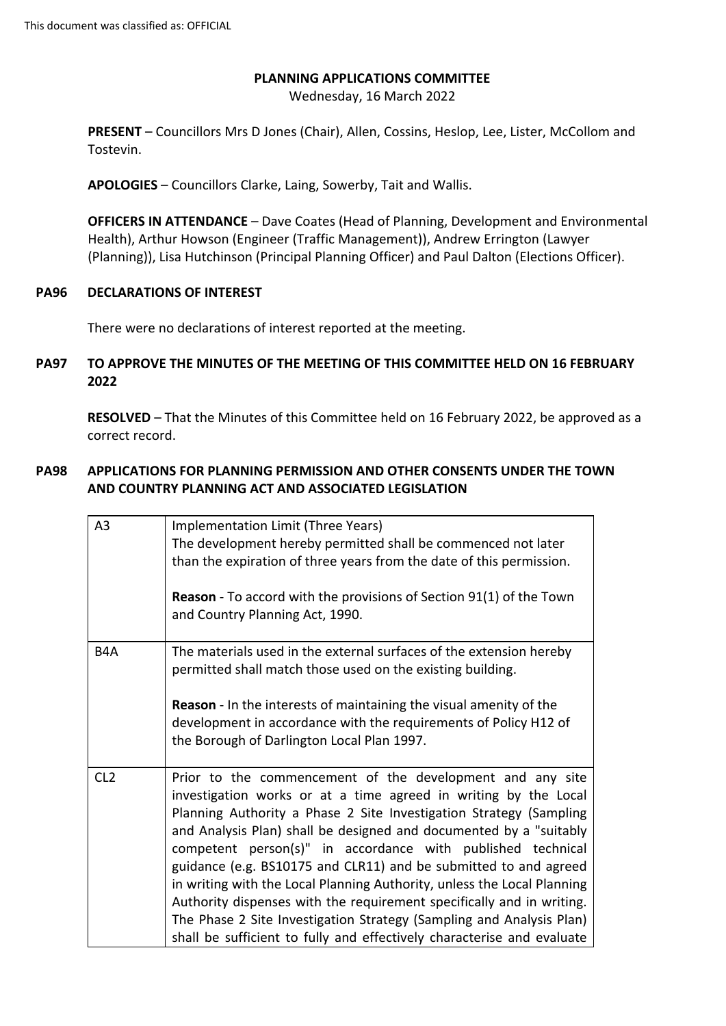#### **PLANNING APPLICATIONS COMMITTEE**

Wednesday, 16 March 2022

**PRESENT** – Councillors Mrs D Jones (Chair), Allen, Cossins, Heslop, Lee, Lister, McCollom and Tostevin.

**APOLOGIES** – Councillors Clarke, Laing, Sowerby, Tait and Wallis.

**OFFICERS IN ATTENDANCE** – Dave Coates (Head of Planning, Development and Environmental Health), Arthur Howson (Engineer (Traffic Management)), Andrew Errington (Lawyer (Planning)), Lisa Hutchinson (Principal Planning Officer) and Paul Dalton (Elections Officer).

#### **PA96 DECLARATIONS OF INTEREST**

There were no declarations of interest reported at the meeting.

#### **PA97 TO APPROVE THE MINUTES OF THE MEETING OF THIS COMMITTEE HELD ON 16 FEBRUARY 2022**

**RESOLVED** – That the Minutes of this Committee held on 16 February 2022, be approved as a correct record.

#### **PA98 APPLICATIONS FOR PLANNING PERMISSION AND OTHER CONSENTS UNDER THE TOWN AND COUNTRY PLANNING ACT AND ASSOCIATED LEGISLATION**

| A <sub>3</sub>  | Implementation Limit (Three Years)<br>The development hereby permitted shall be commenced not later<br>than the expiration of three years from the date of this permission.<br>Reason - To accord with the provisions of Section 91(1) of the Town<br>and Country Planning Act, 1990.                                                                                                                                                                                                                                                                                                                                                                                                                             |
|-----------------|-------------------------------------------------------------------------------------------------------------------------------------------------------------------------------------------------------------------------------------------------------------------------------------------------------------------------------------------------------------------------------------------------------------------------------------------------------------------------------------------------------------------------------------------------------------------------------------------------------------------------------------------------------------------------------------------------------------------|
| B4A             | The materials used in the external surfaces of the extension hereby<br>permitted shall match those used on the existing building.<br>Reason - In the interests of maintaining the visual amenity of the<br>development in accordance with the requirements of Policy H12 of<br>the Borough of Darlington Local Plan 1997.                                                                                                                                                                                                                                                                                                                                                                                         |
| CL <sub>2</sub> | Prior to the commencement of the development and any site<br>investigation works or at a time agreed in writing by the Local<br>Planning Authority a Phase 2 Site Investigation Strategy (Sampling<br>and Analysis Plan) shall be designed and documented by a "suitably<br>competent person(s)" in accordance with published technical<br>guidance (e.g. BS10175 and CLR11) and be submitted to and agreed<br>in writing with the Local Planning Authority, unless the Local Planning<br>Authority dispenses with the requirement specifically and in writing.<br>The Phase 2 Site Investigation Strategy (Sampling and Analysis Plan)<br>shall be sufficient to fully and effectively characterise and evaluate |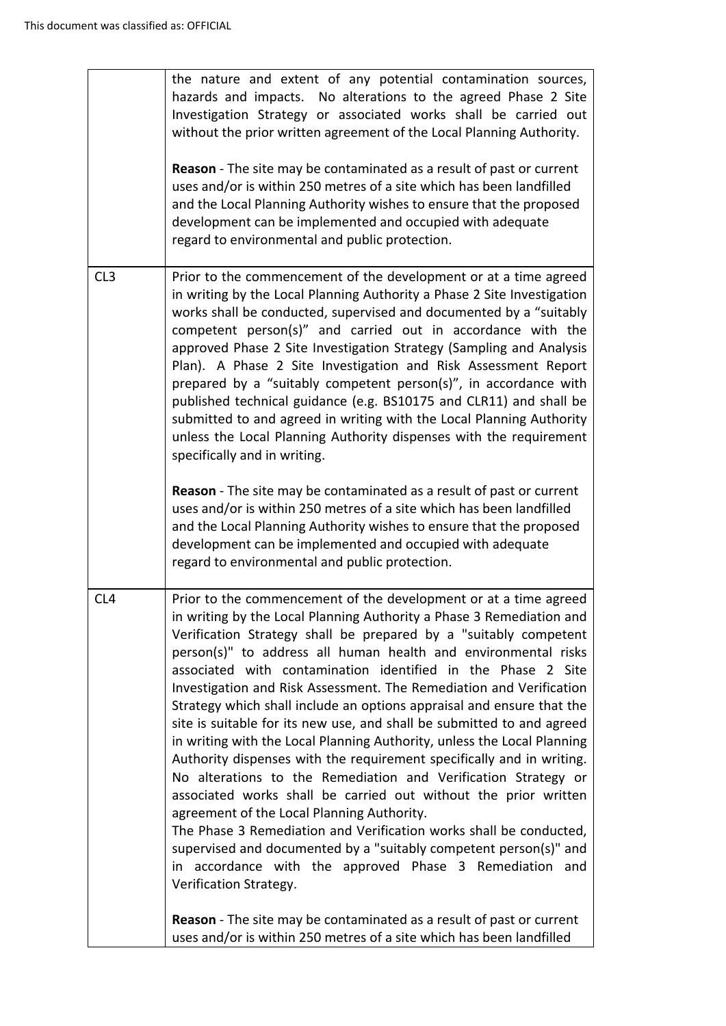|                 | the nature and extent of any potential contamination sources,<br>hazards and impacts. No alterations to the agreed Phase 2 Site<br>Investigation Strategy or associated works shall be carried out<br>without the prior written agreement of the Local Planning Authority.<br><b>Reason</b> - The site may be contaminated as a result of past or current<br>uses and/or is within 250 metres of a site which has been landfilled<br>and the Local Planning Authority wishes to ensure that the proposed<br>development can be implemented and occupied with adequate<br>regard to environmental and public protection.                                                                                                                                                                                                                                                                                                                                                                                                                                                                                                                         |
|-----------------|-------------------------------------------------------------------------------------------------------------------------------------------------------------------------------------------------------------------------------------------------------------------------------------------------------------------------------------------------------------------------------------------------------------------------------------------------------------------------------------------------------------------------------------------------------------------------------------------------------------------------------------------------------------------------------------------------------------------------------------------------------------------------------------------------------------------------------------------------------------------------------------------------------------------------------------------------------------------------------------------------------------------------------------------------------------------------------------------------------------------------------------------------|
| CL <sub>3</sub> | Prior to the commencement of the development or at a time agreed<br>in writing by the Local Planning Authority a Phase 2 Site Investigation<br>works shall be conducted, supervised and documented by a "suitably<br>competent person(s)" and carried out in accordance with the<br>approved Phase 2 Site Investigation Strategy (Sampling and Analysis<br>Plan). A Phase 2 Site Investigation and Risk Assessment Report<br>prepared by a "suitably competent person(s)", in accordance with<br>published technical guidance (e.g. BS10175 and CLR11) and shall be<br>submitted to and agreed in writing with the Local Planning Authority<br>unless the Local Planning Authority dispenses with the requirement<br>specifically and in writing.                                                                                                                                                                                                                                                                                                                                                                                               |
|                 | <b>Reason</b> - The site may be contaminated as a result of past or current<br>uses and/or is within 250 metres of a site which has been landfilled<br>and the Local Planning Authority wishes to ensure that the proposed<br>development can be implemented and occupied with adequate<br>regard to environmental and public protection.                                                                                                                                                                                                                                                                                                                                                                                                                                                                                                                                                                                                                                                                                                                                                                                                       |
| CL <sub>4</sub> | Prior to the commencement of the development or at a time agreed<br>in writing by the Local Planning Authority a Phase 3 Remediation and<br>Verification Strategy shall be prepared by a "suitably competent<br>person(s)" to address all human health and environmental risks<br>associated with contamination identified in the Phase 2 Site<br>Investigation and Risk Assessment. The Remediation and Verification<br>Strategy which shall include an options appraisal and ensure that the<br>site is suitable for its new use, and shall be submitted to and agreed<br>in writing with the Local Planning Authority, unless the Local Planning<br>Authority dispenses with the requirement specifically and in writing.<br>No alterations to the Remediation and Verification Strategy or<br>associated works shall be carried out without the prior written<br>agreement of the Local Planning Authority.<br>The Phase 3 Remediation and Verification works shall be conducted,<br>supervised and documented by a "suitably competent person(s)" and<br>in accordance with the approved Phase 3 Remediation and<br>Verification Strategy. |
|                 | <b>Reason</b> - The site may be contaminated as a result of past or current<br>uses and/or is within 250 metres of a site which has been landfilled                                                                                                                                                                                                                                                                                                                                                                                                                                                                                                                                                                                                                                                                                                                                                                                                                                                                                                                                                                                             |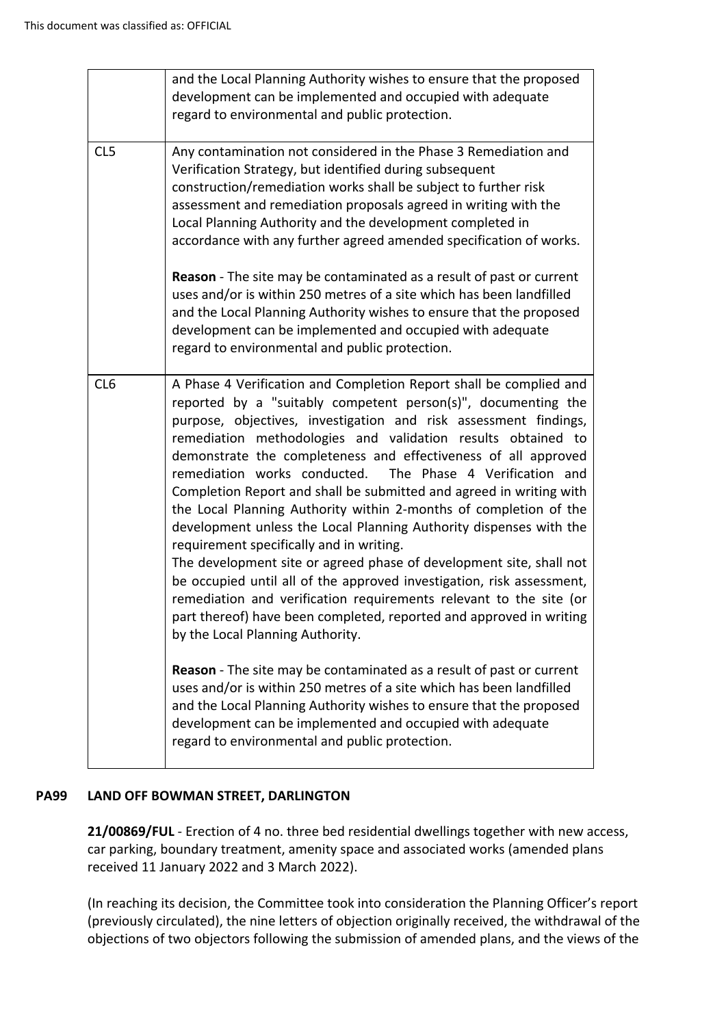|                 | and the Local Planning Authority wishes to ensure that the proposed<br>development can be implemented and occupied with adequate<br>regard to environmental and public protection.                                                                                                                                                                                                                                                                                                                                                                                                                                                                                                                                                                                                                                                                                                                                                                                                                                                                                                                                                                           |
|-----------------|--------------------------------------------------------------------------------------------------------------------------------------------------------------------------------------------------------------------------------------------------------------------------------------------------------------------------------------------------------------------------------------------------------------------------------------------------------------------------------------------------------------------------------------------------------------------------------------------------------------------------------------------------------------------------------------------------------------------------------------------------------------------------------------------------------------------------------------------------------------------------------------------------------------------------------------------------------------------------------------------------------------------------------------------------------------------------------------------------------------------------------------------------------------|
| CL5             | Any contamination not considered in the Phase 3 Remediation and<br>Verification Strategy, but identified during subsequent<br>construction/remediation works shall be subject to further risk<br>assessment and remediation proposals agreed in writing with the<br>Local Planning Authority and the development completed in<br>accordance with any further agreed amended specification of works.                                                                                                                                                                                                                                                                                                                                                                                                                                                                                                                                                                                                                                                                                                                                                          |
|                 | Reason - The site may be contaminated as a result of past or current<br>uses and/or is within 250 metres of a site which has been landfilled<br>and the Local Planning Authority wishes to ensure that the proposed<br>development can be implemented and occupied with adequate<br>regard to environmental and public protection.                                                                                                                                                                                                                                                                                                                                                                                                                                                                                                                                                                                                                                                                                                                                                                                                                           |
| CL <sub>6</sub> | A Phase 4 Verification and Completion Report shall be complied and<br>reported by a "suitably competent person(s)", documenting the<br>purpose, objectives, investigation and risk assessment findings,<br>remediation methodologies and validation results obtained to<br>demonstrate the completeness and effectiveness of all approved<br>remediation works conducted. The Phase 4 Verification and<br>Completion Report and shall be submitted and agreed in writing with<br>the Local Planning Authority within 2-months of completion of the<br>development unless the Local Planning Authority dispenses with the<br>requirement specifically and in writing.<br>The development site or agreed phase of development site, shall not<br>be occupied until all of the approved investigation, risk assessment,<br>remediation and verification requirements relevant to the site (or<br>part thereof) have been completed, reported and approved in writing<br>by the Local Planning Authority.<br><b>Reason</b> - The site may be contaminated as a result of past or current<br>uses and/or is within 250 metres of a site which has been landfilled |
|                 | and the Local Planning Authority wishes to ensure that the proposed<br>development can be implemented and occupied with adequate<br>regard to environmental and public protection.                                                                                                                                                                                                                                                                                                                                                                                                                                                                                                                                                                                                                                                                                                                                                                                                                                                                                                                                                                           |

# **PA99 LAND OFF BOWMAN STREET, DARLINGTON**

**21/00869/FUL** - Erection of 4 no. three bed residential dwellings together with new access, car parking, boundary treatment, amenity space and associated works (amended plans received 11 January 2022 and 3 March 2022).

(In reaching its decision, the Committee took into consideration the Planning Officer's report (previously circulated), the nine letters of objection originally received, the withdrawal of the objections of two objectors following the submission of amended plans, and the views of the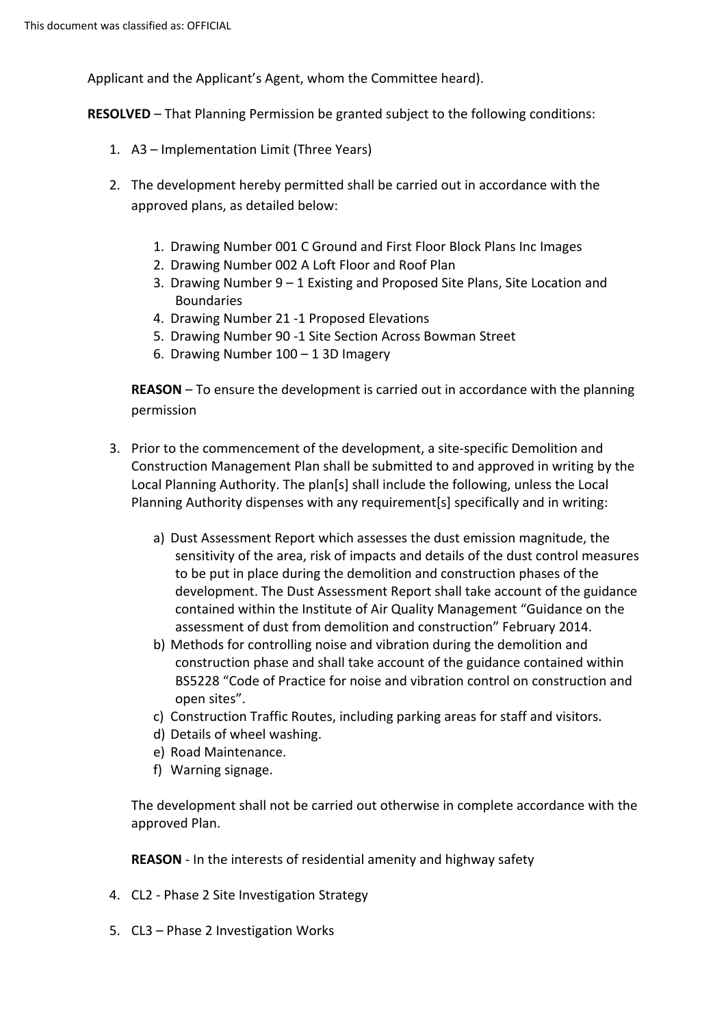Applicant and the Applicant's Agent, whom the Committee heard).

**RESOLVED** – That Planning Permission be granted subject to the following conditions:

- 1. A3 Implementation Limit (Three Years)
- 2. The development hereby permitted shall be carried out in accordance with the approved plans, as detailed below:
	- 1. Drawing Number 001 C Ground and First Floor Block Plans Inc Images
	- 2. Drawing Number 002 A Loft Floor and Roof Plan
	- 3. Drawing Number 9 1 Existing and Proposed Site Plans, Site Location and Boundaries
	- 4. Drawing Number 21 -1 Proposed Elevations
	- 5. Drawing Number 90 -1 Site Section Across Bowman Street
	- 6. Drawing Number 100 1 3D Imagery

**REASON** – To ensure the development is carried out in accordance with the planning permission

- 3. Prior to the commencement of the development, a site-specific Demolition and Construction Management Plan shall be submitted to and approved in writing by the Local Planning Authority. The plan[s] shall include the following, unless the Local Planning Authority dispenses with any requirement[s] specifically and in writing:
	- a) Dust Assessment Report which assesses the dust emission magnitude, the sensitivity of the area, risk of impacts and details of the dust control measures to be put in place during the demolition and construction phases of the development. The Dust Assessment Report shall take account of the guidance contained within the Institute of Air Quality Management "Guidance on the assessment of dust from demolition and construction" February 2014.
	- b) Methods for controlling noise and vibration during the demolition and construction phase and shall take account of the guidance contained within BS5228 "Code of Practice for noise and vibration control on construction and open sites".
	- c) Construction Traffic Routes, including parking areas for staff and visitors.
	- d) Details of wheel washing.
	- e) Road Maintenance.
	- f) Warning signage.

The development shall not be carried out otherwise in complete accordance with the approved Plan.

**REASON** - In the interests of residential amenity and highway safety

- 4. CL2 Phase 2 Site Investigation Strategy
- 5. CL3 Phase 2 Investigation Works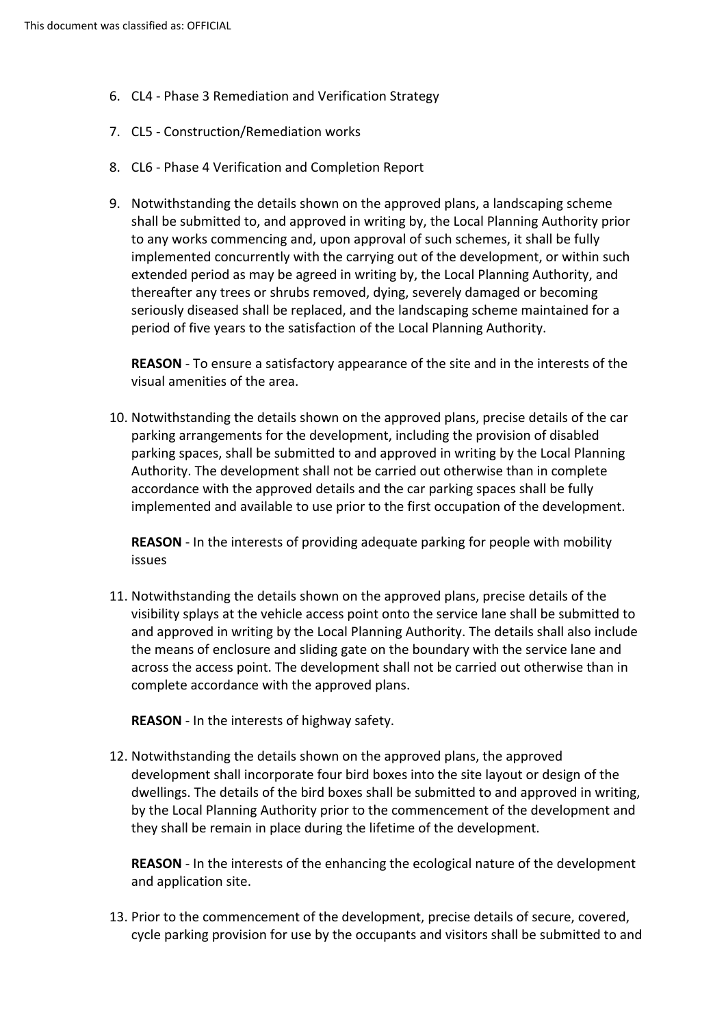- 6. CL4 Phase 3 Remediation and Verification Strategy
- 7. CL5 Construction/Remediation works
- 8. CL6 Phase 4 Verification and Completion Report
- 9. Notwithstanding the details shown on the approved plans, a landscaping scheme shall be submitted to, and approved in writing by, the Local Planning Authority prior to any works commencing and, upon approval of such schemes, it shall be fully implemented concurrently with the carrying out of the development, or within such extended period as may be agreed in writing by, the Local Planning Authority, and thereafter any trees or shrubs removed, dying, severely damaged or becoming seriously diseased shall be replaced, and the landscaping scheme maintained for a period of five years to the satisfaction of the Local Planning Authority.

**REASON** - To ensure a satisfactory appearance of the site and in the interests of the visual amenities of the area.

10. Notwithstanding the details shown on the approved plans, precise details of the car parking arrangements for the development, including the provision of disabled parking spaces, shall be submitted to and approved in writing by the Local Planning Authority. The development shall not be carried out otherwise than in complete accordance with the approved details and the car parking spaces shall be fully implemented and available to use prior to the first occupation of the development.

**REASON** - In the interests of providing adequate parking for people with mobility issues

11. Notwithstanding the details shown on the approved plans, precise details of the visibility splays at the vehicle access point onto the service lane shall be submitted to and approved in writing by the Local Planning Authority. The details shall also include the means of enclosure and sliding gate on the boundary with the service lane and across the access point. The development shall not be carried out otherwise than in complete accordance with the approved plans.

**REASON** - In the interests of highway safety.

12. Notwithstanding the details shown on the approved plans, the approved development shall incorporate four bird boxes into the site layout or design of the dwellings. The details of the bird boxes shall be submitted to and approved in writing, by the Local Planning Authority prior to the commencement of the development and they shall be remain in place during the lifetime of the development.

**REASON** - In the interests of the enhancing the ecological nature of the development and application site.

13. Prior to the commencement of the development, precise details of secure, covered, cycle parking provision for use by the occupants and visitors shall be submitted to and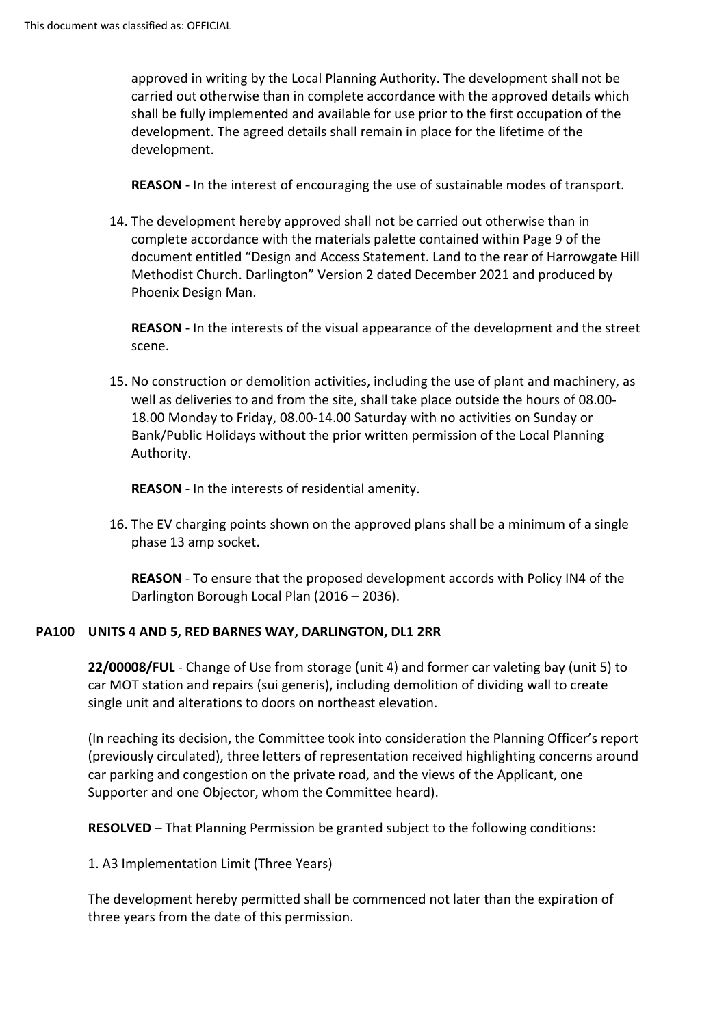approved in writing by the Local Planning Authority. The development shall not be carried out otherwise than in complete accordance with the approved details which shall be fully implemented and available for use prior to the first occupation of the development. The agreed details shall remain in place for the lifetime of the development.

**REASON** - In the interest of encouraging the use of sustainable modes of transport.

14. The development hereby approved shall not be carried out otherwise than in complete accordance with the materials palette contained within Page 9 of the document entitled "Design and Access Statement. Land to the rear of Harrowgate Hill Methodist Church. Darlington" Version 2 dated December 2021 and produced by Phoenix Design Man.

**REASON** - In the interests of the visual appearance of the development and the street scene.

15. No construction or demolition activities, including the use of plant and machinery, as well as deliveries to and from the site, shall take place outside the hours of 08.00- 18.00 Monday to Friday, 08.00-14.00 Saturday with no activities on Sunday or Bank/Public Holidays without the prior written permission of the Local Planning Authority.

**REASON** - In the interests of residential amenity.

16. The EV charging points shown on the approved plans shall be a minimum of a single phase 13 amp socket.

**REASON** - To ensure that the proposed development accords with Policy IN4 of the Darlington Borough Local Plan (2016 – 2036).

## **PA100 UNITS 4 AND 5, RED BARNES WAY, DARLINGTON, DL1 2RR**

**22/00008/FUL** - Change of Use from storage (unit 4) and former car valeting bay (unit 5) to car MOT station and repairs (sui generis), including demolition of dividing wall to create single unit and alterations to doors on northeast elevation.

(In reaching its decision, the Committee took into consideration the Planning Officer's report (previously circulated), three letters of representation received highlighting concerns around car parking and congestion on the private road, and the views of the Applicant, one Supporter and one Objector, whom the Committee heard).

**RESOLVED** – That Planning Permission be granted subject to the following conditions:

1. A3 Implementation Limit (Three Years)

The development hereby permitted shall be commenced not later than the expiration of three years from the date of this permission.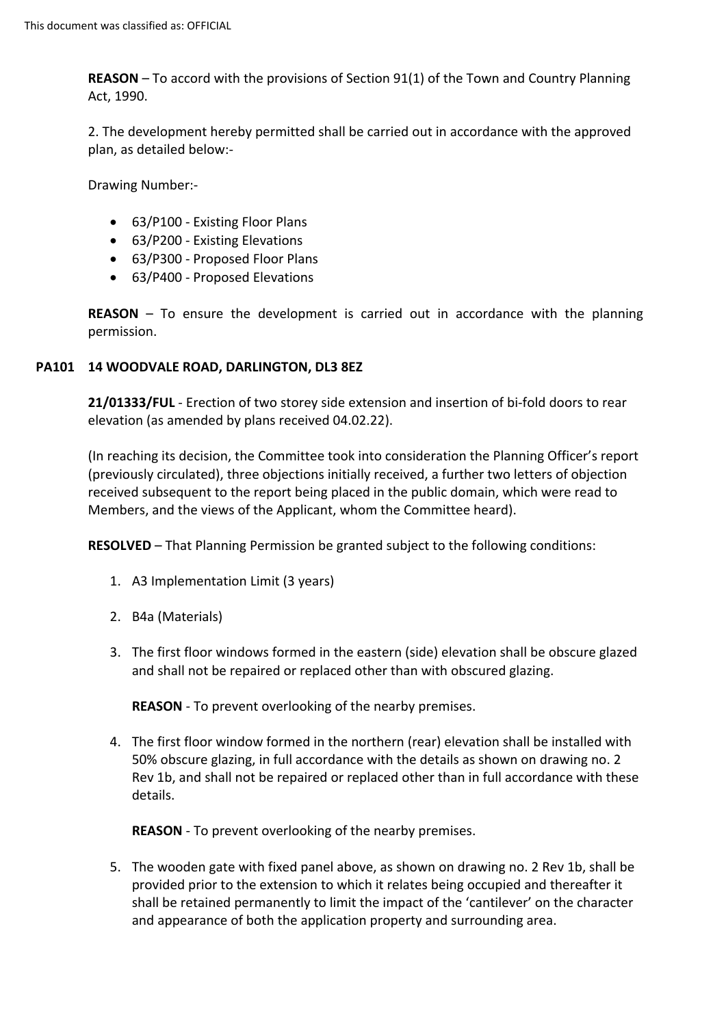**REASON** – To accord with the provisions of Section 91(1) of the Town and Country Planning Act, 1990.

2. The development hereby permitted shall be carried out in accordance with the approved plan, as detailed below:-

Drawing Number:-

- 63/P100 Existing Floor Plans
- 63/P200 Existing Elevations
- 63/P300 Proposed Floor Plans
- 63/P400 Proposed Elevations

**REASON** – To ensure the development is carried out in accordance with the planning permission.

#### **PA101 14 WOODVALE ROAD, DARLINGTON, DL3 8EZ**

**21/01333/FUL** - Erection of two storey side extension and insertion of bi-fold doors to rear elevation (as amended by plans received 04.02.22).

(In reaching its decision, the Committee took into consideration the Planning Officer's report (previously circulated), three objections initially received, a further two letters of objection received subsequent to the report being placed in the public domain, which were read to Members, and the views of the Applicant, whom the Committee heard).

**RESOLVED** – That Planning Permission be granted subject to the following conditions:

- 1. A3 Implementation Limit (3 years)
- 2. B4a (Materials)
- 3. The first floor windows formed in the eastern (side) elevation shall be obscure glazed and shall not be repaired or replaced other than with obscured glazing.

**REASON** - To prevent overlooking of the nearby premises.

4. The first floor window formed in the northern (rear) elevation shall be installed with 50% obscure glazing, in full accordance with the details as shown on drawing no. 2 Rev 1b, and shall not be repaired or replaced other than in full accordance with these details.

**REASON** - To prevent overlooking of the nearby premises.

5. The wooden gate with fixed panel above, as shown on drawing no. 2 Rev 1b, shall be provided prior to the extension to which it relates being occupied and thereafter it shall be retained permanently to limit the impact of the 'cantilever' on the character and appearance of both the application property and surrounding area.